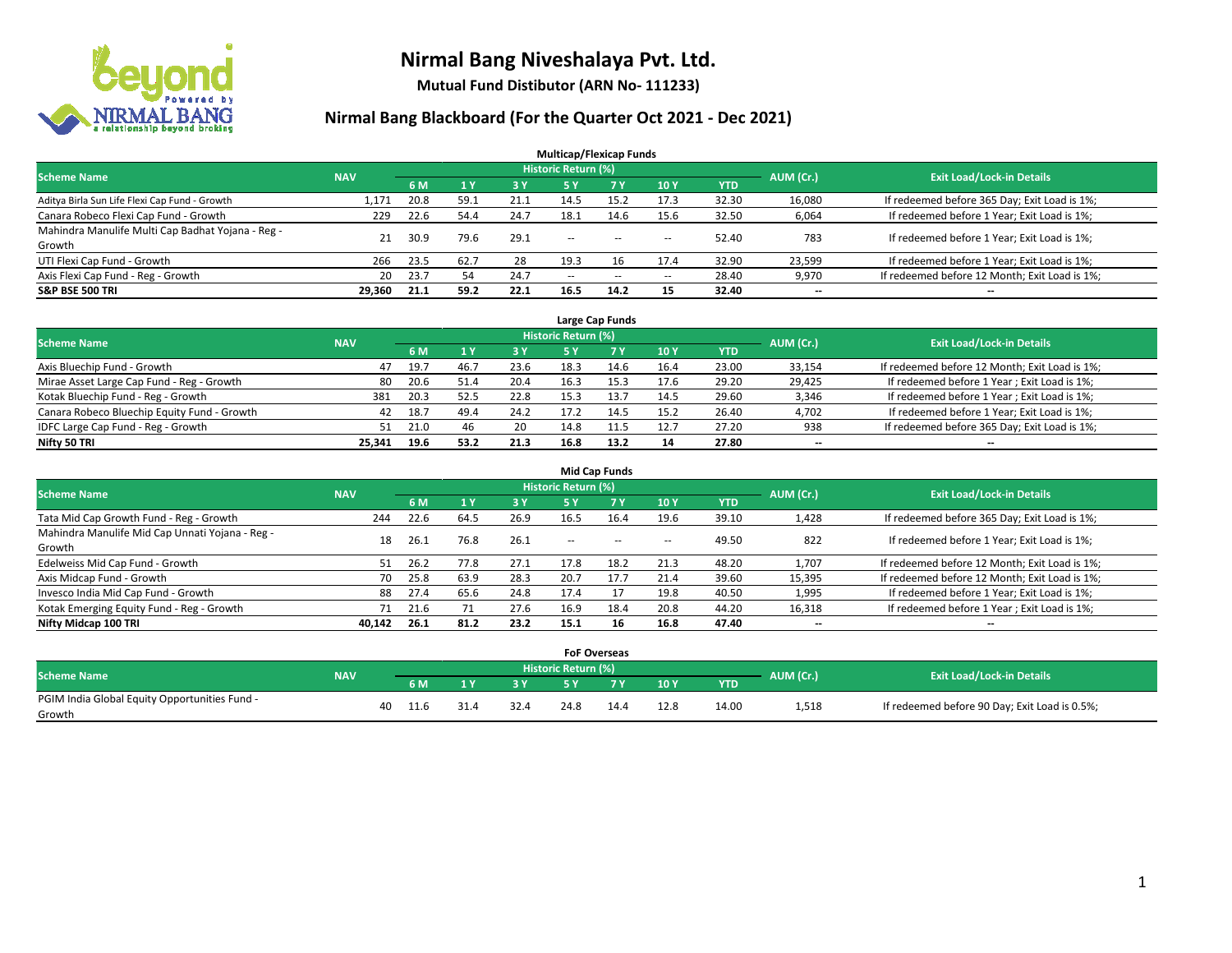

**Mutual Fund Distibutor (ARN No- 111233)**

|                                                   |            |      |      |            | <b>Multicap/Flexicap Funds</b> |            |                          |            |           |                                               |
|---------------------------------------------------|------------|------|------|------------|--------------------------------|------------|--------------------------|------------|-----------|-----------------------------------------------|
| <b>Scheme Name</b>                                | <b>NAV</b> |      |      |            | <b>Historic Return (%)</b>     |            |                          |            | AUM (Cr.) | <b>Exit Load/Lock-in Details</b>              |
|                                                   |            | 6 M  | 1Y   | <b>3 Y</b> | 5 Y                            | <b>7 Y</b> | <b>10Y</b>               | <b>YTD</b> |           |                                               |
| Aditya Birla Sun Life Flexi Cap Fund - Growth     | 1.171      | 20.8 | 59.1 | 21.1       | 14.5                           | 15.2       | 17.3                     | 32.30      | 16,080    | If redeemed before 365 Day; Exit Load is 1%;  |
| Canara Robeco Flexi Cap Fund - Growth             | 229        | 22.6 | 54.4 | 24.7       | 18.1                           | 14.6       | 15.6                     | 32.50      | 6,064     | If redeemed before 1 Year; Exit Load is 1%;   |
| Mahindra Manulife Multi Cap Badhat Yojana - Reg - | 21         | 30.9 | 79.6 | 29.1       | $\overline{\phantom{a}}$       |            |                          | 52.40      | 783       | If redeemed before 1 Year; Exit Load is 1%;   |
| Growth                                            |            |      |      |            |                                | $- -$      | $\overline{\phantom{a}}$ |            |           |                                               |
| UTI Flexi Cap Fund - Growth                       | 266        | 23.5 | 62.7 | 28         | 19.3                           | 16         | 17.4                     | 32.90      | 23,599    | If redeemed before 1 Year; Exit Load is 1%;   |
| Axis Flexi Cap Fund - Reg - Growth                | 20         | 23.7 | 54   | 24.7       | $\overline{\phantom{a}}$       | $-$        | --                       | 28.40      | 9,970     | If redeemed before 12 Month; Exit Load is 1%; |
| <b>S&amp;P BSE 500 TRI</b>                        | 29,360     | 21.1 | 59.2 | 22.1       | 16.5                           | 14.2       | 15                       | 32.40      | $- -$     | $\overline{\phantom{a}}$                      |

| Large Cap Funds                             |            |      |      |      |                            |            |                                  |            |        |                                               |  |  |  |
|---------------------------------------------|------------|------|------|------|----------------------------|------------|----------------------------------|------------|--------|-----------------------------------------------|--|--|--|
| <b>Scheme Name</b>                          | <b>NAV</b> |      |      |      | <b>Historic Return (%)</b> | AUM (Cr.)  | <b>Exit Load/Lock-in Details</b> |            |        |                                               |  |  |  |
|                                             |            | 6 M  |      | 3 Y  |                            | <b>7 Y</b> | 10Y                              | <b>YTD</b> |        |                                               |  |  |  |
| Axis Bluechip Fund - Growth                 | 47         | 19.7 | 46.7 | 23.6 | 18.3                       | 14.6       | 16.4                             | 23.00      | 33,154 | If redeemed before 12 Month; Exit Load is 1%; |  |  |  |
| Mirae Asset Large Cap Fund - Reg - Growth   | 80         | 20.6 | 51.4 | 20.4 | 16.3                       |            | 17.6                             | 29.20      | 29,425 | If redeemed before 1 Year; Exit Load is 1%;   |  |  |  |
| Kotak Bluechip Fund - Reg - Growth          | 381        | 20.3 | 52.5 | 22.8 | 15.3                       |            | 14.5                             | 29.60      | 3,346  | If redeemed before 1 Year; Exit Load is 1%;   |  |  |  |
| Canara Robeco Bluechip Equity Fund - Growth | 42         | 18.7 | 49.4 | 24.2 | 17.2                       | 14.5       | 15.2                             | 26.40      | 4,702  | If redeemed before 1 Year; Exit Load is 1%;   |  |  |  |
| IDFC Large Cap Fund - Reg - Growth          | 51         | 21.0 | 46   | 20   | 14.8                       | 11.5       | 12.7                             | 27.20      | 938    | If redeemed before 365 Day; Exit Load is 1%;  |  |  |  |
| Nifty 50 TRI                                | 25.341     | 19.6 | 53.2 | 21.3 | 16.8                       | 13.2       | 14                               | 27.80      | $- -$  | $- -$                                         |  |  |  |

|                                                 |            |      |      |      |                     | <b>Mid Cap Funds</b> |                          |       |                          |                                               |
|-------------------------------------------------|------------|------|------|------|---------------------|----------------------|--------------------------|-------|--------------------------|-----------------------------------------------|
| <b>Scheme Name</b>                              | <b>NAV</b> |      |      |      | Historic Return (%) |                      |                          |       | AUM (Cr.)                | <b>Exit Load/Lock-in Details</b>              |
|                                                 |            | 6 M  |      | 3 Y  | 5 Y                 | <b>7Y</b>            | 10Y                      | YTD   |                          |                                               |
| Tata Mid Cap Growth Fund - Reg - Growth         | 244        | 22.6 | 64.5 | 26.9 | 16.5                | 16.4                 | 19.6                     | 39.10 | 1,428                    | If redeemed before 365 Day; Exit Load is 1%;  |
| Mahindra Manulife Mid Cap Unnati Yojana - Reg - | 18         | 26.1 | 76.8 | 26.1 | $- -$               | $\sim$               | $\overline{\phantom{a}}$ | 49.50 | 822                      | If redeemed before 1 Year; Exit Load is 1%;   |
| Growth                                          |            |      |      |      |                     |                      |                          |       |                          |                                               |
| Edelweiss Mid Cap Fund - Growth                 | 51         | 26.2 | 77.8 | 27.1 | 17.8                | 18.2                 | 21.3                     | 48.20 | 1,707                    | If redeemed before 12 Month; Exit Load is 1%; |
| Axis Midcap Fund - Growth                       | 70         | 25.8 | 63.9 | 28.3 | 20.7                | 17.7                 | 21.4                     | 39.60 | 15,395                   | If redeemed before 12 Month; Exit Load is 1%; |
| Invesco India Mid Cap Fund - Growth             | 88         | 27.4 | 65.6 | 24.8 | 17.4                |                      | 19.8                     | 40.50 | 1,995                    | If redeemed before 1 Year; Exit Load is 1%;   |
| Kotak Emerging Equity Fund - Reg - Growth       | 71         | 21.6 |      | 27.6 | 16.9                | 18.4                 | 20.8                     | 44.20 | 16,318                   | If redeemed before 1 Year; Exit Load is 1%;   |
| Nifty Midcap 100 TRI                            | 40.142     | 26.1 | 81.2 | 23.2 | 15.1                | 16                   | 16.8                     | 47.40 | $\overline{\phantom{a}}$ | $-$                                           |

|                                               |            |    |      |     |           |                     | <b>FoF Overseas</b> |      |            |           |                                               |
|-----------------------------------------------|------------|----|------|-----|-----------|---------------------|---------------------|------|------------|-----------|-----------------------------------------------|
| Scheme Name                                   | <b>NAV</b> |    |      |     |           | Historic Return (%) |                     |      |            | AUM (Cr.) | <b>Exit Load/Lock-in Details</b>              |
|                                               |            |    | 6 M  | 1 V | <b>2V</b> |                     | 'י ד                | 10Y  | <b>YTD</b> |           |                                               |
| PGIM India Global Equity Opportunities Fund - |            | 40 | 11.6 |     | 32.4      | 24.8                | 14.4                | 12.8 | 14.00      | 1,518     | If redeemed before 90 Day; Exit Load is 0.5%; |
| Growth                                        |            |    |      |     |           |                     |                     |      |            |           |                                               |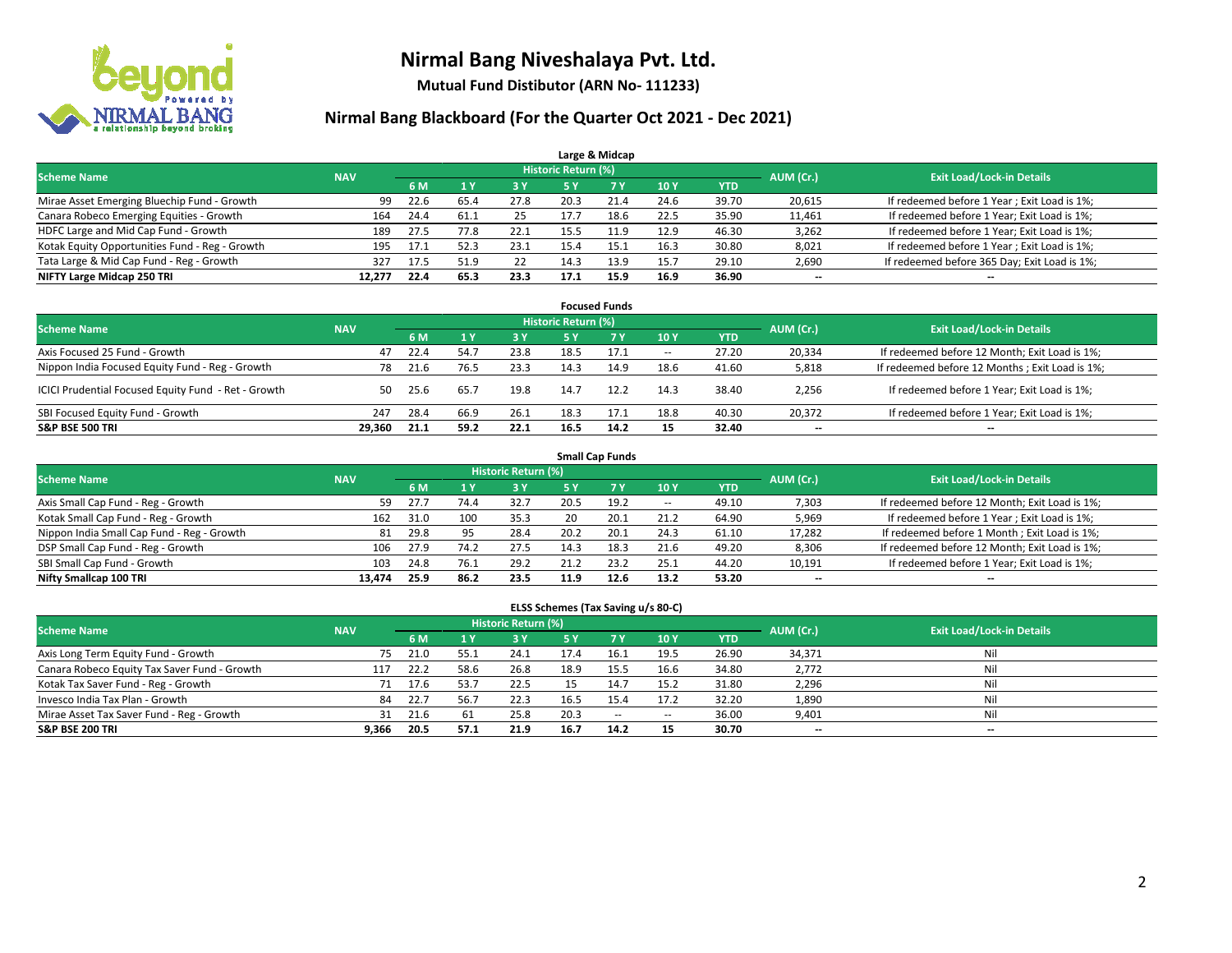

**Mutual Fund Distibutor (ARN No- 111233)**

### **Nirmal Bang Blackboard (For the Quarter Oct 2021 - Dec 2021)**

|                                                |            |      |      |      |                            | Large & Midcap |      |            |                                  |                                              |
|------------------------------------------------|------------|------|------|------|----------------------------|----------------|------|------------|----------------------------------|----------------------------------------------|
| <b>Scheme Name</b>                             | <b>NAV</b> |      |      |      | <b>Historic Return (%)</b> |                |      | AUM (Cr.)  | <b>Exit Load/Lock-in Details</b> |                                              |
|                                                |            | 6 M  |      | 3 Y  | 5 Y                        | 7 Y            | 10Y  | <b>YTD</b> |                                  |                                              |
| Mirae Asset Emerging Bluechip Fund - Growth    | 99         | 22.6 | 65.4 | 27.8 | 20.3                       | 21.4           | 24.6 | 39.70      | 20,615                           | If redeemed before 1 Year; Exit Load is 1%;  |
| Canara Robeco Emerging Equities - Growth       | 164        | 24.4 | 61.1 | 25   | 17.7                       | 18.6           | 22.5 | 35.90      | 11,461                           | If redeemed before 1 Year; Exit Load is 1%;  |
| HDFC Large and Mid Cap Fund - Growth           | 189        | 27.5 | 77.8 | 22.1 | 15.5                       | 11 Q           | 12.9 | 46.30      | 3,262                            | If redeemed before 1 Year; Exit Load is 1%;  |
| Kotak Equity Opportunities Fund - Reg - Growth | 195        | 17.1 | 52.3 | 23.1 | 15.4                       | 15.1           | 16.3 | 30.80      | 8,021                            | If redeemed before 1 Year; Exit Load is 1%;  |
| Tata Large & Mid Cap Fund - Reg - Growth       | 327        | 17.5 | 51.9 | 22   | 14.3                       | 13.9           | 15.7 | 29.10      | 2,690                            | If redeemed before 365 Day; Exit Load is 1%; |
| NIFTY Large Midcap 250 TRI                     | 12.277     | 22.4 | 65.3 | 23.3 | 17.1                       | 15.9           | 16.9 | 36.90      | $\overline{\phantom{a}}$         | $\overline{\phantom{a}}$                     |

|                                                     |            |                                  |      |            |      | <b>Focused Funds</b> |                          |       |                          |                                                |
|-----------------------------------------------------|------------|----------------------------------|------|------------|------|----------------------|--------------------------|-------|--------------------------|------------------------------------------------|
| <b>Scheme Name</b>                                  | AUM (Cr.)  | <b>Exit Load/Lock-in Details</b> |      |            |      |                      |                          |       |                          |                                                |
|                                                     | <b>NAV</b> | 6 M                              |      | <b>3 Y</b> | 5 Y  | <b>7Y</b>            | 10Y                      | YTD   |                          |                                                |
| Axis Focused 25 Fund - Growth                       | 47         | 22.4                             | 54.7 | 23.8       | 18.5 | 17.1                 | $\overline{\phantom{a}}$ | 27.20 | 20.334                   | If redeemed before 12 Month; Exit Load is 1%;  |
| Nippon India Focused Equity Fund - Reg - Growth     | 78         | 21.6                             |      | 23.3       | 14.3 | 14.9                 | 18.6                     | 41.60 | 5,818                    | If redeemed before 12 Months; Exit Load is 1%; |
| ICICI Prudential Focused Equity Fund - Ret - Growth | 50         | 25.6                             | 65.7 | 19.8       | 14.7 | 12.2                 | 14.3                     | 38.40 | 2,256                    | If redeemed before 1 Year; Exit Load is 1%;    |
| SBI Focused Equity Fund - Growth                    | 247        | 28.4                             | 66.9 | 26.1       | 18.3 | 17.1                 | 18.8                     | 40.30 | 20.372                   | If redeemed before 1 Year; Exit Load is 1%;    |
| <b>S&amp;P BSE 500 TRI</b>                          | 29.360     | 21.1                             | 59.2 | 22.1       | 16.5 | 14.2                 | 15                       | 32.40 | $\overline{\phantom{a}}$ | $\overline{\phantom{m}}$                       |

|                                            | <b>Small Cap Funds</b> |      |      |                     |           |                                  |       |            |        |                                               |  |  |  |  |  |
|--------------------------------------------|------------------------|------|------|---------------------|-----------|----------------------------------|-------|------------|--------|-----------------------------------------------|--|--|--|--|--|
| <b>Scheme Name</b>                         | <b>NAV</b>             |      |      | Historic Return (%) | AUM (Cr.) | <b>Exit Load/Lock-in Details</b> |       |            |        |                                               |  |  |  |  |  |
|                                            |                        | 6 M  |      | 3 Y                 | 5 Y       | <b>7Y</b>                        | 10Y   | <b>YTD</b> |        |                                               |  |  |  |  |  |
| Axis Small Cap Fund - Reg - Growth         | 59                     | 27.7 | 74.4 | 32.7                | 20.5      | 19.2                             | $- -$ | 49.10      | 7,303  | If redeemed before 12 Month; Exit Load is 1%; |  |  |  |  |  |
| Kotak Small Cap Fund - Reg - Growth        | 162                    | 31.0 | 100  | 35.3                | 20        | 20.1                             | 21.2  | 64.90      | 5,969  | If redeemed before 1 Year; Exit Load is 1%;   |  |  |  |  |  |
| Nippon India Small Cap Fund - Reg - Growth | 81                     | 29.8 | 95   | 28.4                | 20.2      | 20.1                             | 24.3  | 61.10      | 17,282 | If redeemed before 1 Month; Exit Load is 1%;  |  |  |  |  |  |
| DSP Small Cap Fund - Reg - Growth          | 106                    | 27.9 | 74.2 | 27.5                | 14.3      | 18.3                             | 21.6  | 49.20      | 8,306  | If redeemed before 12 Month; Exit Load is 1%; |  |  |  |  |  |
| SBI Small Cap Fund - Growth                | 103                    | 24.8 | 76.1 | 29.2                | 21.2      | 23.2                             | 25.1  | 44.20      | 10,191 | If redeemed before 1 Year; Exit Load is 1%;   |  |  |  |  |  |
| Nifty Smallcap 100 TRI                     | 13.474                 | 25.9 | 86.2 | 23.5                | 11.9      | 12.6                             | 13.2  | 53.20      | --     | $\overline{\phantom{m}}$                      |  |  |  |  |  |

#### **ELSS Schemes (Tax Saving u/s 80-C)**

| <b>Scheme Name</b>                           | <b>NAV</b> |      |      | Historic Return (%) |           |      |            |            | AUM (Cr.) | <b>Exit Load/Lock-in Details</b> |
|----------------------------------------------|------------|------|------|---------------------|-----------|------|------------|------------|-----------|----------------------------------|
|                                              |            | 6 M  |      | 73 Y.               | <b>5Y</b> | 7Y   | <b>10Y</b> | <b>YTD</b> |           |                                  |
| Axis Long Term Equity Fund - Growth          | 75         | 21.0 | 55.7 | 24.1                | 17.4      | 16.1 | 19.5       | 26.90      | 34,371    | Nil                              |
| Canara Robeco Equity Tax Saver Fund - Growth | 117        | 22.2 | 58.6 | 26.8                | 18.9      | 15.5 | 16.6       | 34.80      | 2,772     | Nil                              |
| Kotak Tax Saver Fund - Reg - Growth          |            | 17.6 | 53.7 | 22.5                |           | 14.7 | 15.2       | 31.80      | 2,296     | Nil                              |
| Invesco India Tax Plan - Growth              | 84         | 22.7 | 56.7 | 22.3                | 16.5      | 15.4 | 17.2       | 32.20      | 1,890     | Nil                              |
| Mirae Asset Tax Saver Fund - Reg - Growth    | 31         | 21.6 | 61   | 25.8                | 20.3      | $-$  | $\!-$      | 36.00      | 9,401     | Nil                              |
| <b>S&amp;P BSE 200 TRI</b>                   | 9,366      | 20.5 | 57.1 | 21.9                | 16.7      | 14.2 | 15         | 30.70      | $- -$     | --                               |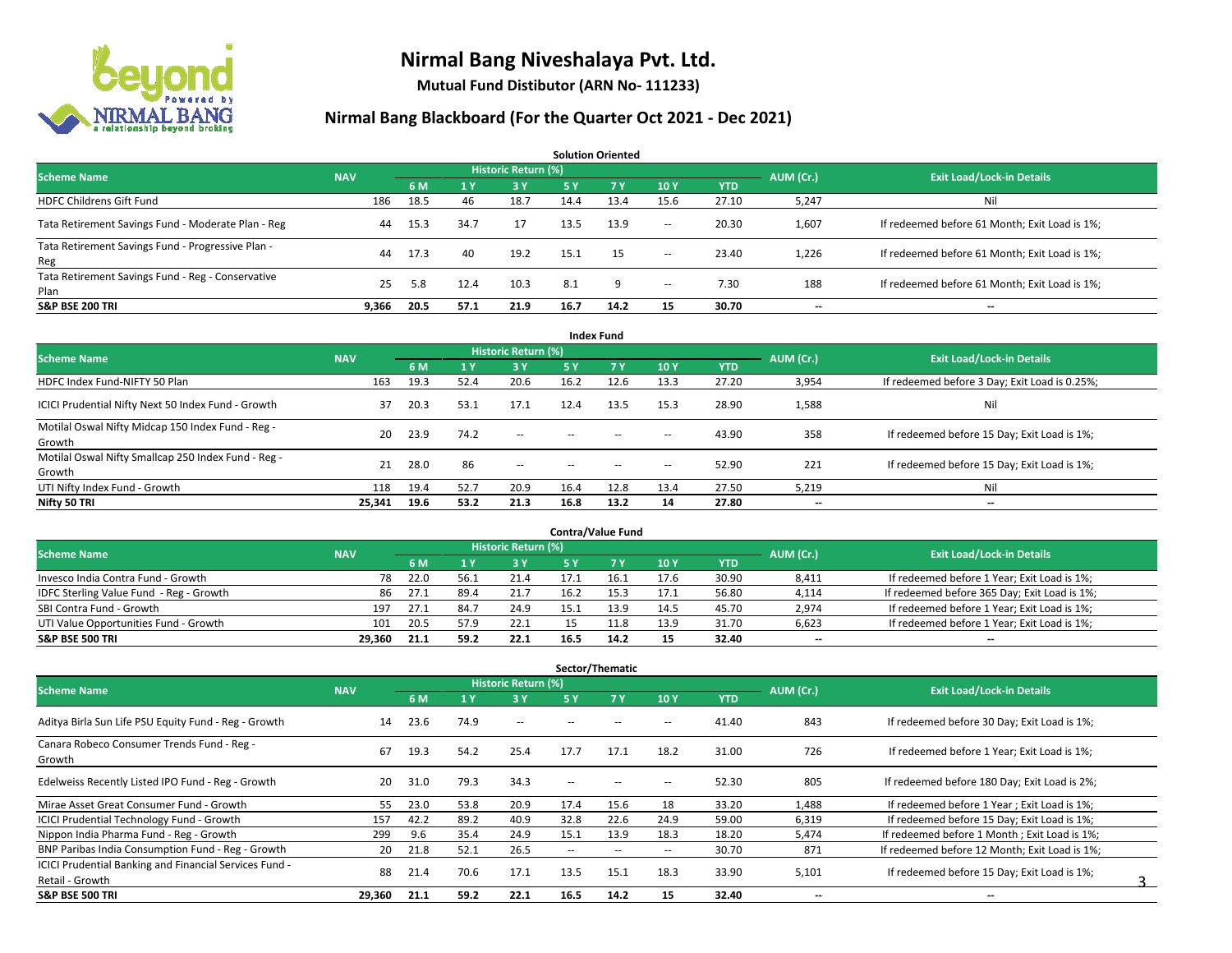

**Mutual Fund Distibutor (ARN No- 111233)**

| <b>Solution Oriented</b>                                  |            |      |      |                     |      |      |                          |            |                          |                                               |  |  |  |
|-----------------------------------------------------------|------------|------|------|---------------------|------|------|--------------------------|------------|--------------------------|-----------------------------------------------|--|--|--|
| <b>Scheme Name</b>                                        | <b>NAV</b> |      |      | Historic Return (%) |      |      |                          |            | AUM (Cr.)                | <b>Exit Load/Lock-in Details</b>              |  |  |  |
|                                                           |            | 6 M  |      | 3 Y                 | 75 Y | 7Y   | 10Y                      | <b>YTD</b> |                          |                                               |  |  |  |
| <b>HDFC Childrens Gift Fund</b>                           | 186        | 18.5 | 46   | 18.7                | 14.4 | 13.4 | 15.6                     | 27.10      | 5,247                    | Ni                                            |  |  |  |
| Tata Retirement Savings Fund - Moderate Plan - Reg        | 44         | 15.3 | 34.7 | 17                  | 13.5 | 13.9 | $\sim$                   | 20.30      | 1,607                    | If redeemed before 61 Month; Exit Load is 1%; |  |  |  |
| Tata Retirement Savings Fund - Progressive Plan -<br>Reg  | 44         | 17.3 | 40   | 19.2                | 15.1 | -15  | $\sim$                   | 23.40      | 1,226                    | If redeemed before 61 Month; Exit Load is 1%; |  |  |  |
| Tata Retirement Savings Fund - Reg - Conservative<br>Plan | 25         | 5.8  | 12.4 | 10.3                | 8.1  | q    | $\overline{\phantom{a}}$ | 7.30       | 188                      | If redeemed before 61 Month; Exit Load is 1%; |  |  |  |
| <b>S&amp;P BSE 200 TRI</b>                                | 9.366      | 20.5 | 57.1 | 21.9                | 16.7 | 14.2 | 15                       | 30.70      | $\overline{\phantom{a}}$ | $- -$                                         |  |  |  |

|                                                               |            |      |           |                            |        | <b>Index Fund</b> |                          |            |           |                                               |
|---------------------------------------------------------------|------------|------|-----------|----------------------------|--------|-------------------|--------------------------|------------|-----------|-----------------------------------------------|
| <b>Scheme Name</b>                                            | <b>NAV</b> |      |           | <b>Historic Return (%)</b> |        |                   |                          |            | AUM (Cr.) | <b>Exit Load/Lock-in Details</b>              |
|                                                               |            | 6 M  | <b>1Y</b> | 3 Y                        | 5 Y    | <b>7 Y</b>        | 10Y                      | <b>YTD</b> |           |                                               |
| HDFC Index Fund-NIFTY 50 Plan                                 | 163        | 19.3 | 52.4      | 20.6                       | 16.2   | 12.6              | 13.3                     | 27.20      | 3,954     | If redeemed before 3 Day; Exit Load is 0.25%; |
| ICICI Prudential Nifty Next 50 Index Fund - Growth            | 37         | 20.3 | 53.1      | 17.1                       | 12.4   | 13.5              | 15.3                     | 28.90      | 1,588     | Nil                                           |
| Motilal Oswal Nifty Midcap 150 Index Fund - Reg -<br>Growth   | 20         | 23.9 | 74.2      | $\sim$                     | $\sim$ | $-$               | $\overline{\phantom{a}}$ | 43.90      | 358       | If redeemed before 15 Day; Exit Load is 1%;   |
| Motilal Oswal Nifty Smallcap 250 Index Fund - Reg -<br>Growth | 21         | 28.0 | 86        | $\sim$                     | $\sim$ | $\sim$            | $\overline{\phantom{a}}$ | 52.90      | 221       | If redeemed before 15 Day; Exit Load is 1%;   |
| UTI Nifty Index Fund - Growth                                 | 118        | 19.4 | 52.7      | 20.9                       | 16.4   | 12.8              | 13.4                     | 27.50      | 5,219     | Nil                                           |
| Nifty 50 TRI                                                  | 25,341     | 19.6 | 53.2      | 21.3                       | 16.8   | 13.2              | 14                       | 27.80      | $- -$     | $\overline{\phantom{a}}$                      |

| <b>Contra/Value Fund</b>                |            |      |      |                     |      |      |      |       |           |                                              |  |  |  |
|-----------------------------------------|------------|------|------|---------------------|------|------|------|-------|-----------|----------------------------------------------|--|--|--|
| <b>Scheme Name</b>                      | <b>NAV</b> |      |      | Historic Return (%) |      |      |      |       | AUM (Cr.) | <b>Exit Load/Lock-in Details</b>             |  |  |  |
|                                         |            | 6 M  |      | 3 Y                 |      |      | 10Y  | YTD   |           |                                              |  |  |  |
| Invesco India Contra Fund - Growth      | 78         | 22.0 | 56.1 | 21.4                |      | 16.: | 17.6 | 30.90 | 8,411     | If redeemed before 1 Year; Exit Load is 1%;  |  |  |  |
| IDFC Sterling Value Fund - Reg - Growth | 86         | ⊥27  | 89.4 | 21.7                | 16.2 |      | 17.1 | 56.80 | 4,114     | If redeemed before 365 Day; Exit Load is 1%; |  |  |  |
| SBI Contra Fund - Growth                | 197        | 27.1 | 84.7 | 24.9                | 15.1 | 13.9 | 14.5 | 45.70 | 2,974     | If redeemed before 1 Year; Exit Load is 1%;  |  |  |  |
| UTI Value Opportunities Fund - Growth   | 101        | 20.5 | 57.9 | 22.1                |      | 11.8 | 13.9 | 31.70 | 6,623     | If redeemed before 1 Year; Exit Load is 1%;  |  |  |  |
| <b>S&amp;P BSE 500 TRI</b>              | 29.360     | 21.1 | 59.2 | 22.1                | 16.5 | 14.2 | 15   | 32.40 | $- -$     | $- -$                                        |  |  |  |

| Sector/Thematic                                        |            |      |      |                            |                          |                          |                          |            |           |                                               |  |  |  |
|--------------------------------------------------------|------------|------|------|----------------------------|--------------------------|--------------------------|--------------------------|------------|-----------|-----------------------------------------------|--|--|--|
| <b>Scheme Name</b>                                     | <b>NAV</b> |      |      | <b>Historic Return (%)</b> |                          |                          |                          |            | AUM (Cr.) | <b>Exit Load/Lock-in Details</b>              |  |  |  |
|                                                        |            | 6 M  |      | 3Y                         | 5 Y                      | 7Y                       | 10Y                      | <b>YTD</b> |           |                                               |  |  |  |
| Aditya Birla Sun Life PSU Equity Fund - Reg - Growth   | 14         | 23.6 | 74.9 | $\overline{\phantom{a}}$   |                          |                          | $\overline{\phantom{a}}$ | 41.40      | 843       | If redeemed before 30 Day; Exit Load is 1%;   |  |  |  |
| Canara Robeco Consumer Trends Fund - Reg -<br>Growth   | 67         | 19.3 | 54.2 | 25.4                       | 17.7                     | 17.1                     | 18.2                     | 31.00      | 726       | If redeemed before 1 Year; Exit Load is 1%;   |  |  |  |
| Edelweiss Recently Listed IPO Fund - Reg - Growth      | 20         | 31.0 | 79.3 | 34.3                       | $-$                      |                          | --                       | 52.30      | 805       | If redeemed before 180 Day; Exit Load is 2%;  |  |  |  |
| Mirae Asset Great Consumer Fund - Growth               | 55.        | 23.0 | 53.8 | 20.9                       | 17.4                     | 15.6                     | 18                       | 33.20      | 1,488     | If redeemed before 1 Year: Exit Load is 1%:   |  |  |  |
| <b>ICICI Prudential Technology Fund - Growth</b>       | 157        | 42.2 | 89.2 | 40.9                       | 32.8                     | 22.6                     | 24.9                     | 59.00      | 6,319     | If redeemed before 15 Day; Exit Load is 1%;   |  |  |  |
| Nippon India Pharma Fund - Reg - Growth                | 299        | 9.6  | 35.4 | 24.9                       | 15.1                     | 13.9                     | 18.3                     | 18.20      | 5,474     | If redeemed before 1 Month; Exit Load is 1%;  |  |  |  |
| BNP Paribas India Consumption Fund - Reg - Growth      | 20         | 21.8 | 52.1 | 26.5                       | $\overline{\phantom{a}}$ | $\overline{\phantom{a}}$ | $\overline{\phantom{a}}$ | 30.70      | 871       | If redeemed before 12 Month; Exit Load is 1%; |  |  |  |
| ICICI Prudential Banking and Financial Services Fund - | 88         |      | 70.6 | 17.1                       | 13.5                     | 15.1                     | 18.3                     |            |           |                                               |  |  |  |
| Retail - Growth                                        |            | 21.4 |      |                            |                          |                          |                          | 33.90      | 5,101     | If redeemed before 15 Day; Exit Load is 1%;   |  |  |  |
| <b>S&amp;P BSE 500 TRI</b>                             | 29.360     | 21.1 | 59.2 | 22.1                       | 16.5                     | 14.2                     | 15                       | 32.40      | --        | $\overline{\phantom{a}}$                      |  |  |  |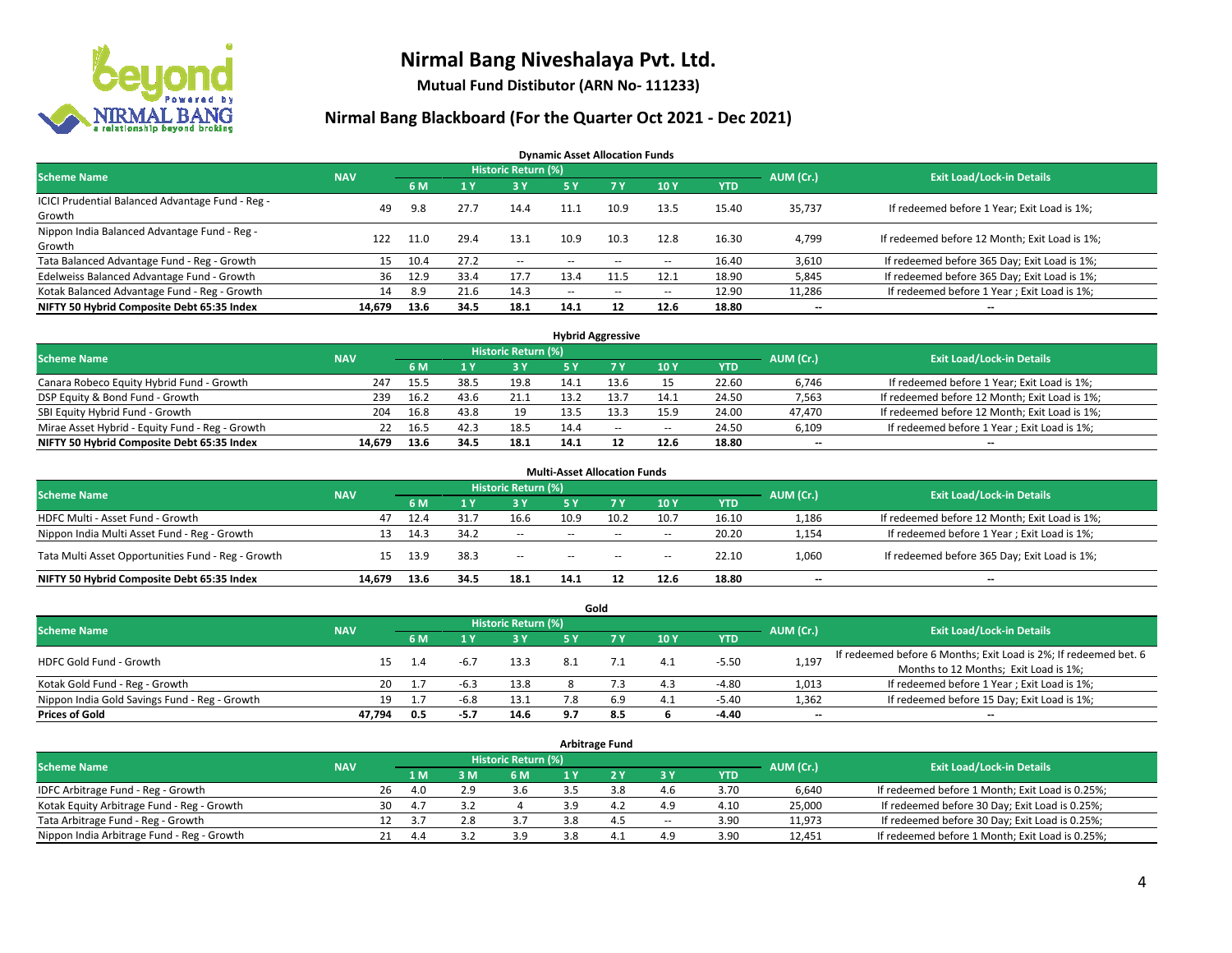

**Mutual Fund Distibutor (ARN No- 111233)**

#### **Nirmal Bang Blackboard (For the Quarter Oct 2021 - Dec 2021)**

**Dynamic Asset Allocation Funds**

| <b>Scheme Name</b>                                         | <b>NAV</b> |      |      | <b>Historic Return (%)</b> |        |                          |                          |       | AUM (Cr.)                | <b>Exit Load/Lock-in Details</b>              |
|------------------------------------------------------------|------------|------|------|----------------------------|--------|--------------------------|--------------------------|-------|--------------------------|-----------------------------------------------|
|                                                            |            | 6 M  |      | <b>3Y</b>                  | 5 Y    | 7 Y                      | 10Y                      | YTD   |                          |                                               |
| ICICI Prudential Balanced Advantage Fund - Reg -<br>Growth | 49         | 9.8  | 27.7 | 14.4                       | 11.1   | 10.9                     | 13.5                     | 15.40 | 35,737                   | If redeemed before 1 Year; Exit Load is 1%;   |
| Nippon India Balanced Advantage Fund - Reg -<br>Growth     | 122        | 11.0 | 29.4 | 13.1                       | 10.9   | 10.3                     | 12.8                     | 16.30 | 4,799                    | If redeemed before 12 Month; Exit Load is 1%; |
| Tata Balanced Advantage Fund - Reg - Growth                | 15         | 10.4 | 27.2 | $\sim$                     | $-$    | $\overline{\phantom{a}}$ | $\overline{\phantom{a}}$ | 16.40 | 3,610                    | If redeemed before 365 Day; Exit Load is 1%;  |
| Edelweiss Balanced Advantage Fund - Growth                 | 36         | 12.9 | 33.4 | 17.7                       | 13.4   |                          | 12.1                     | 18.90 | 5,845                    | If redeemed before 365 Day; Exit Load is 1%;  |
| Kotak Balanced Advantage Fund - Reg - Growth               | 14         | 8.9  | 21.6 | 14.3                       | $\sim$ | $\overline{\phantom{a}}$ | $\hspace{0.05cm} \cdots$ | 12.90 | 11,286                   | If redeemed before 1 Year; Exit Load is 1%;   |
| NIFTY 50 Hybrid Composite Debt 65:35 Index                 | 14.679     | 13.6 | 34.5 | 18.1                       | 14.1   | 12                       | 12.6                     | 18.80 | $\overline{\phantom{a}}$ | --                                            |

| <b>Hybrid Aggressive</b>                        |            |      |      |                            |      |        |        |            |           |                                               |  |  |  |
|-------------------------------------------------|------------|------|------|----------------------------|------|--------|--------|------------|-----------|-----------------------------------------------|--|--|--|
| <b>Scheme Name</b>                              | <b>NAV</b> |      |      | <b>Historic Return (%)</b> |      |        |        |            | AUM (Cr.) | <b>Exit Load/Lock-in Details</b>              |  |  |  |
|                                                 |            | 6 M  |      | 3 Y                        |      |        | 10Y    | <b>YTD</b> |           |                                               |  |  |  |
| Canara Robeco Equity Hybrid Fund - Growth       | 247        | 15.5 | 38.5 | 19.8                       | 14.1 |        | 15     | 22.60      | 6,746     | If redeemed before 1 Year; Exit Load is 1%;   |  |  |  |
| DSP Equity & Bond Fund - Growth                 | 239        | 16.2 | 43.6 | 21.1                       | 13.2 |        | 14.1   | 24.50      | 7,563     | If redeemed before 12 Month; Exit Load is 1%; |  |  |  |
| SBI Equity Hybrid Fund - Growth                 | 204        | 16.8 | 43.8 | 19                         | 13.5 |        | 15.9   | 24.00      | 47,470    | If redeemed before 12 Month; Exit Load is 1%; |  |  |  |
| Mirae Asset Hybrid - Equity Fund - Reg - Growth | 22         | 16.5 | 42.3 | 18.5                       | 14.4 | $\sim$ | $\sim$ | 24.50      | 6,109     | If redeemed before 1 Year; Exit Load is 1%;   |  |  |  |
| NIFTY 50 Hybrid Composite Debt 65:35 Index      | 14.679     | 13.6 | 34.5 | 18.1                       | 14.1 |        | 12.6   | 18.80      | $- -$     | $- -$                                         |  |  |  |

|                                                    |            |      |      |                            | <b>Multi-Asset Allocation Funds</b> |        |            |            |           |                                               |
|----------------------------------------------------|------------|------|------|----------------------------|-------------------------------------|--------|------------|------------|-----------|-----------------------------------------------|
| <b>Scheme Name</b>                                 | <b>NAV</b> |      |      | <b>Historic Return (%)</b> |                                     |        |            |            | AUM (Cr.) | <b>Exit Load/Lock-in Details</b>              |
|                                                    |            | 6 M  |      | <b>3Y</b>                  | 5 Y                                 | 7Y     | <b>10Y</b> | <b>YTD</b> |           |                                               |
| HDFC Multi - Asset Fund - Growth                   | 47         | 12.4 | 31.7 | 16.6                       | 10.9                                | 10.2   | 10.7       | 16.10      | 1,186     | If redeemed before 12 Month; Exit Load is 1%; |
| Nippon India Multi Asset Fund - Reg - Growth       | 13         | 14.3 | 34.2 | $\sim$                     | $\sim$ $\sim$                       | $-$    | $\sim$     | 20.20      | 1,154     | If redeemed before 1 Year; Exit Load is 1%;   |
| Tata Multi Asset Opportunities Fund - Reg - Growth | 15         | 13.9 | 38.3 | $\sim$                     | $\sim$ $\sim$                       | $\sim$ | $-$        | 22.10      | 1,060     | If redeemed before 365 Day; Exit Load is 1%;  |
| NIFTY 50 Hybrid Composite Debt 65:35 Index         | 14.679     | 13.6 | 34.5 | 18.1                       | 14.1                                |        | 12.6       | 18.80      | --        | $- -$                                         |

|                                               |            |           |                                  |       |            | Gold |     |            |       |                                                                  |
|-----------------------------------------------|------------|-----------|----------------------------------|-------|------------|------|-----|------------|-------|------------------------------------------------------------------|
| <b>Scheme Name</b>                            | <b>NAV</b> | AUM (Cr.) | <b>Exit Load/Lock-in Details</b> |       |            |      |     |            |       |                                                                  |
|                                               |            | 6 M       |                                  | 73 Y. | <b>5 Y</b> |      | 10Y | <b>YTD</b> |       |                                                                  |
| HDFC Gold Fund - Growth                       |            | 1.4       |                                  | 13.3  |            |      | 4.1 | $-5.50$    | 1,197 | If redeemed before 6 Months; Exit Load is 2%; If redeemed bet. 6 |
|                                               |            |           |                                  |       |            |      |     |            |       | Months to 12 Months; Exit Load is 1%;                            |
| Kotak Gold Fund - Reg - Growth                | 20         |           | $-6.3$                           | 13.8  |            |      | 4.3 | $-4.80$    | 1,013 | If redeemed before 1 Year; Exit Load is 1%;                      |
| Nippon India Gold Savings Fund - Reg - Growth | 19         |           | -6.8                             | 13.1  |            | 6.9  | 4.1 | -5.40      | 1,362 | If redeemed before 15 Day; Exit Load is 1%;                      |
| <b>Prices of Gold</b>                         | 47.794     | 0.5       | -5.7                             | 14.6  | 9.7        | 8.5  |     | -4.40      | --    | --                                                               |

| <b>Arbitrage Fund</b>                      |            |                                  |      |       |     |     |     |                          |            |        |                                                 |  |  |  |
|--------------------------------------------|------------|----------------------------------|------|-------|-----|-----|-----|--------------------------|------------|--------|-------------------------------------------------|--|--|--|
| <b>Scheme Name</b>                         | AUM (Cr.)  | <b>Exit Load/Lock-in Details</b> |      |       |     |     |     |                          |            |        |                                                 |  |  |  |
|                                            | <b>NAV</b> |                                  | 1 M  | $-3M$ | 6 M |     |     | 3 Y                      | <b>YTD</b> |        |                                                 |  |  |  |
| IDFC Arbitrage Fund - Reg - Growth         |            | 26                               | 4.0  | 2.9   | 3.6 |     | 3.8 | 4.6                      | 3.70       | 6,640  | If redeemed before 1 Month; Exit Load is 0.25%; |  |  |  |
| Kotak Equity Arbitrage Fund - Reg - Growth |            | 30                               | 4.7  |       |     |     | 4.4 | 4.9                      | 4.10       | 25,000 | If redeemed before 30 Day; Exit Load is 0.25%;  |  |  |  |
| Tata Arbitrage Fund - Reg - Growth         |            | 12                               | - 27 | 2.8   |     | 3.8 | 4.5 | $\overline{\phantom{a}}$ | 3.90       | 11,973 | If redeemed before 30 Day; Exit Load is 0.25%;  |  |  |  |
| Nippon India Arbitrage Fund - Reg - Growth |            | 21                               | 4.4  |       | 3.9 |     | 4.1 | 4.9                      | 3.90       | 12,451 | If redeemed before 1 Month; Exit Load is 0.25%; |  |  |  |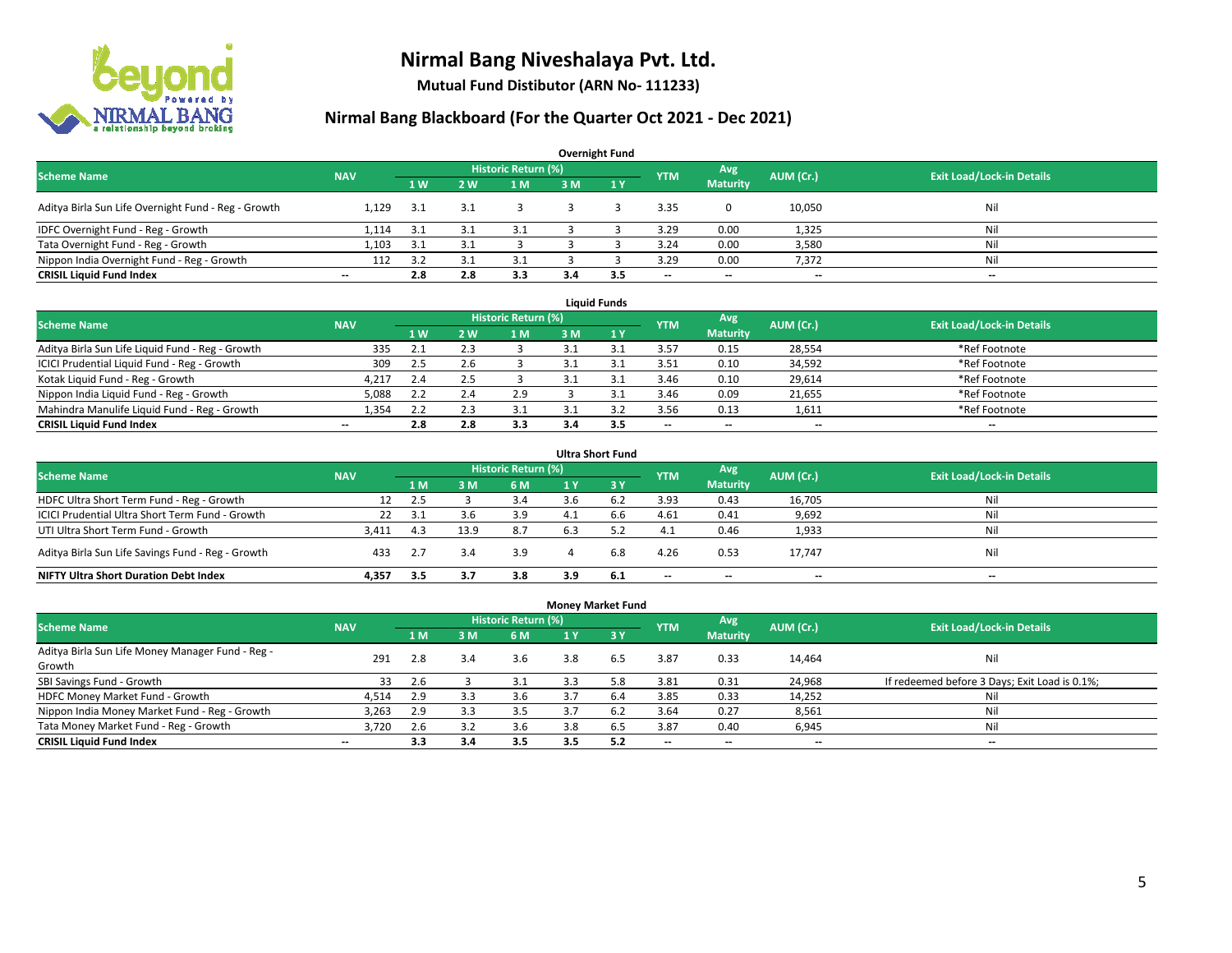

**Mutual Fund Distibutor (ARN No- 111233)**

| <b>Overnight Fund</b>                               |                          |                |            |     |           |                                  |      |                          |        |     |  |  |  |  |
|-----------------------------------------------------|--------------------------|----------------|------------|-----|-----------|----------------------------------|------|--------------------------|--------|-----|--|--|--|--|
| <b>Scheme Name</b>                                  | <b>NAV</b>               |                | <b>YTM</b> | Avg | AUM (Cr.) | <b>Exit Load/Lock-in Details</b> |      |                          |        |     |  |  |  |  |
|                                                     |                          | 1 <sub>W</sub> | 2W         | 1 M | 3 M       | $\sqrt{1}$ $V$                   |      | <b>Maturity</b>          |        |     |  |  |  |  |
| Aditya Birla Sun Life Overnight Fund - Reg - Growth | 1.129                    | -3.1           | بع.        |     |           |                                  | 3.35 |                          | 10,050 | Nil |  |  |  |  |
| IDFC Overnight Fund - Reg - Growth                  | 1,114                    | 3.1            |            | 3.1 |           |                                  | 3.29 | 0.00                     | 1,325  | Nil |  |  |  |  |
| Tata Overnight Fund - Reg - Growth                  | 1.103                    | 3.1            |            |     |           |                                  | 3.24 | 0.00                     | 3,580  | Nil |  |  |  |  |
| Nippon India Overnight Fund - Reg - Growth          | 112                      | 3.2            |            | 3.1 |           |                                  | 3.29 | 0.00                     | 7,372  | Nil |  |  |  |  |
| <b>CRISIL Liquid Fund Index</b>                     | $\overline{\phantom{a}}$ | 2.8            | 2.8        | 3.3 | 3.4       | 3.5                              | --   | $\overline{\phantom{a}}$ | $- -$  | $-$ |  |  |  |  |

| <b>Liquid Funds</b>                              |            |                |     |                     |     |     |            |                          |           |                                  |  |  |  |
|--------------------------------------------------|------------|----------------|-----|---------------------|-----|-----|------------|--------------------------|-----------|----------------------------------|--|--|--|
| <b>Scheme Name</b>                               | <b>NAV</b> |                |     | Historic Return (%) |     |     | <b>YTM</b> | Avg                      | AUM (Cr.) | <b>Exit Load/Lock-in Details</b> |  |  |  |
|                                                  |            | 1 <sub>W</sub> | 2 W | 1 M                 | 3 M |     |            | <b>Maturity</b>          |           |                                  |  |  |  |
| Aditya Birla Sun Life Liquid Fund - Reg - Growth | 335        |                |     |                     |     |     | 3.57       | 0.15                     | 28,554    | *Ref Footnote                    |  |  |  |
| ICICI Prudential Liquid Fund - Reg - Growth      | 309        | 2.5            |     |                     |     |     | 3.51       | 0.10                     | 34,592    | *Ref Footnote                    |  |  |  |
| Kotak Liquid Fund - Reg - Growth                 | 4,21       | 2.4            |     |                     |     |     | 3.46       | 0.10                     | 29,614    | *Ref Footnote                    |  |  |  |
| Nippon India Liquid Fund - Reg - Growth          | 5,088      |                |     | 2.9                 |     |     | 3.46       | 0.09                     | 21,655    | *Ref Footnote                    |  |  |  |
| Mahindra Manulife Liquid Fund - Reg - Growth     | 1.354      | 2.2            | د.ء |                     |     |     | 3.56       | 0.13                     | 1,611     | *Ref Footnote                    |  |  |  |
| <b>CRISIL Liquid Fund Index</b>                  | $- -$      | 2.8            | 2.8 | 3.3                 | 3.4 | 3.5 | $- -$      | $\overline{\phantom{a}}$ | $- -$     | $\overline{\phantom{a}}$         |  |  |  |

| <b>Ultra Short Fund</b>                           |            |      |      |                            |     |           |                          |                          |           |                                  |  |  |  |
|---------------------------------------------------|------------|------|------|----------------------------|-----|-----------|--------------------------|--------------------------|-----------|----------------------------------|--|--|--|
| <b>Scheme Name</b>                                | <b>NAV</b> |      |      | <b>Historic Return (%)</b> |     |           | <b>YTM</b>               | Avg.                     | AUM (Cr.) | <b>Exit Load/Lock-in Details</b> |  |  |  |
|                                                   |            | 1 M  | 3 M  | 6 M                        | 1 Y | $'$ 3 $V$ |                          | <b>Maturity</b>          |           |                                  |  |  |  |
| HDFC Ultra Short Term Fund - Reg - Growth         | 12         | 2.5  |      | 3.4                        |     |           | 3.93                     | 0.43                     | 16,705    | Nil                              |  |  |  |
| ICICI Prudential Ultra Short Term Fund - Growth   | 22         | 3.1  | 3.6  | 3.9                        | 4.1 | 6.6       | 4.61                     | 0.41                     | 9,692     | Nil                              |  |  |  |
| UTI Ultra Short Term Fund - Growth                | 3,411      | -4.3 | 13.9 | 8.7                        | 6.3 |           | 4.1                      | 0.46                     | 1,933     | Nil                              |  |  |  |
| Aditya Birla Sun Life Savings Fund - Reg - Growth | 433        | 2.7  | 3.4  | 3.9                        |     | 6.8       | 4.26                     | 0.53                     | 17,747    | Nil                              |  |  |  |
| <b>NIFTY Ultra Short Duration Debt Index</b>      | 4.357      | 3.5  | 3.7  | 3.8                        | 3.9 | 6.1       | $\overline{\phantom{a}}$ | $\overline{\phantom{a}}$ | --        | $-$                              |  |  |  |

| <b>Money Market Fund</b>                         |            |     |     |                     |     |     |            |                          |                          |                                               |  |  |  |  |
|--------------------------------------------------|------------|-----|-----|---------------------|-----|-----|------------|--------------------------|--------------------------|-----------------------------------------------|--|--|--|--|
| <b>Scheme Name</b>                               | <b>NAV</b> |     |     | Historic Return (%) |     |     | <b>YTM</b> | Avg                      | AUM (Cr.)                | <b>Exit Load/Lock-in Details</b>              |  |  |  |  |
|                                                  |            | 1 M | 3 M | 6 M                 | 1 Y | 73V |            | <b>Maturity</b>          |                          |                                               |  |  |  |  |
| Aditya Birla Sun Life Money Manager Fund - Reg - | 291        | 2.8 | 3.4 | 3.6                 | 3.8 | 6.5 | 3.87       | 0.33                     | 14,464                   | Nil                                           |  |  |  |  |
| Growth                                           |            |     |     |                     |     |     |            |                          |                          |                                               |  |  |  |  |
| SBI Savings Fund - Growth                        | 33         | 2.6 |     | 3.1                 | 3.3 | 5.8 | 3.81       | 0.31                     | 24,968                   | If redeemed before 3 Days; Exit Load is 0.1%; |  |  |  |  |
| HDFC Money Market Fund - Growth                  | 4,514      | 2.9 | 3.3 | 3.6                 | 3.7 | 6.4 | 3.85       | 0.33                     | 14,252                   | Nil                                           |  |  |  |  |
| Nippon India Money Market Fund - Reg - Growth    | 3.263      | 2.9 | 3.3 | 3.5                 |     | 6.2 | 3.64       | 0.27                     | 8,561                    | Nil                                           |  |  |  |  |
| Tata Money Market Fund - Reg - Growth            | 3.720      | 2.6 | 3.2 | 3.6                 | 3.8 | ხ.5 | 3.87       | 0.40                     | 6,945                    | Nil                                           |  |  |  |  |
| <b>CRISIL Liquid Fund Index</b>                  | $- -$      | 3.3 | 3.4 | 3.5                 | 3.5 | 5.2 | --         | $\overline{\phantom{a}}$ | $\overline{\phantom{a}}$ | $-$                                           |  |  |  |  |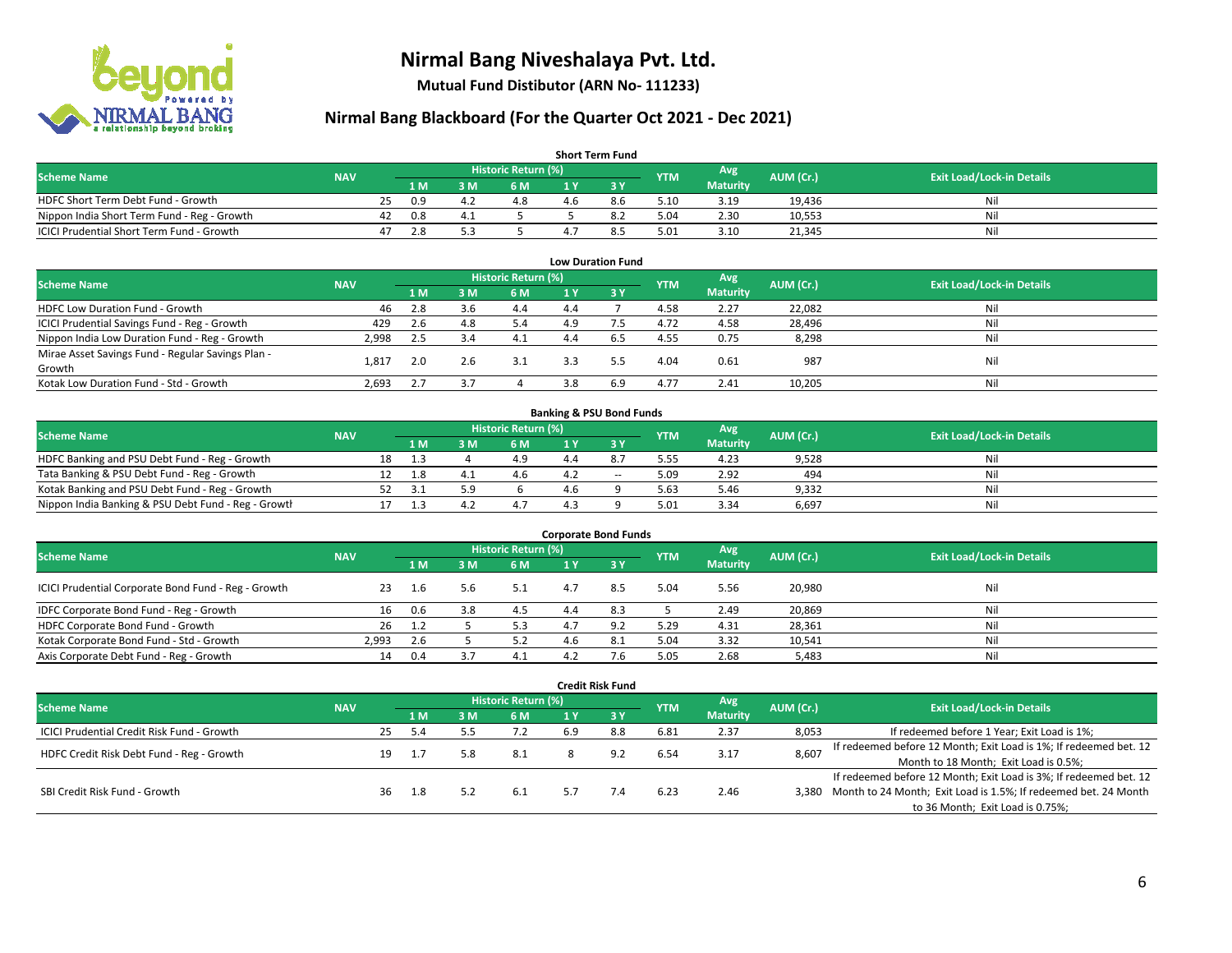

**Mutual Fund Distibutor (ARN No- 111233)**

| <b>Short Term Fund</b>                           |            |    |      |     |                     |     |     |            |                 |           |                                  |  |  |  |
|--------------------------------------------------|------------|----|------|-----|---------------------|-----|-----|------------|-----------------|-----------|----------------------------------|--|--|--|
| <b>Scheme Name</b>                               | <b>NAV</b> |    |      |     | Historic Return (%) |     |     | <b>YTM</b> | Avg \           | AUM (Cr.) | <b>Exit Load/Lock-in Details</b> |  |  |  |
|                                                  |            |    | 1 M. | 3 M | 6 M                 |     |     |            | <b>Maturity</b> |           |                                  |  |  |  |
| HDFC Short Term Debt Fund - Growth               |            | 25 | 0.9  | 4.2 | 4.8                 | 4.6 | 8.6 | 5.10       | 3.19            | 19.436    | Nil                              |  |  |  |
| Nippon India Short Term Fund - Reg - Growth      |            | 42 | 0.8  |     |                     |     |     | 5.04       | 2.30            | 10,553    | Nil                              |  |  |  |
| <b>ICICI Prudential Short Term Fund - Growth</b> |            | 47 | 2.8  |     |                     |     |     | 5.01       | 3.10            | 21,345    | Nil                              |  |  |  |

| <b>Low Duration Fund</b>                          |            |     |     |                            |     |       |            |                 |           |                                  |  |  |  |  |
|---------------------------------------------------|------------|-----|-----|----------------------------|-----|-------|------------|-----------------|-----------|----------------------------------|--|--|--|--|
| <b>Scheme Name</b>                                | <b>NAV</b> |     |     | <b>Historic Return (%)</b> |     |       | <b>YTM</b> | Avg             | AUM (Cr.) | <b>Exit Load/Lock-in Details</b> |  |  |  |  |
|                                                   |            | 1 M | 3 M | 6 M                        |     | - 3 Y |            | <b>Maturity</b> |           |                                  |  |  |  |  |
| HDFC Low Duration Fund - Growth                   | 46         | 2.8 | 3.6 | 4.4                        | 4.4 |       | 4.58       | 2.27            | 22,082    | Nil                              |  |  |  |  |
| ICICI Prudential Savings Fund - Reg - Growth      | 429        | 2.6 | 4.8 | 5.4                        | 4.9 |       | 4.72       | 4.58            | 28,496    | Nil                              |  |  |  |  |
| Nippon India Low Duration Fund - Reg - Growth     | 2,998      | 2.5 |     | 4.1                        | 4.4 | 6.5   | 4.55       | 0.75            | 8,298     | Nil                              |  |  |  |  |
| Mirae Asset Savings Fund - Regular Savings Plan - | 1.81.      | 2.0 | 2.6 | 3.1                        | 3.3 | 5.5   | 4.04       | 0.61            | 987       | Nil                              |  |  |  |  |
| Growth                                            |            |     |     |                            |     |       |            |                 |           |                                  |  |  |  |  |
| Kotak Low Duration Fund - Std - Growth            | 2,693      |     |     |                            | 3.8 | 6.9   | 4.77       | 2.41            | 10,205    | Nil                              |  |  |  |  |

| <b>Banking &amp; PSU Bond Funds</b>                 |            |  |       |     |                     |  |       |            |                 |           |                                  |  |  |  |
|-----------------------------------------------------|------------|--|-------|-----|---------------------|--|-------|------------|-----------------|-----------|----------------------------------|--|--|--|
| <b>Scheme Name</b>                                  | <b>NAV</b> |  |       |     | Historic Return (%) |  |       | <b>YTM</b> | Avg             | AUM (Cr.) | <b>Exit Load/Lock-in Details</b> |  |  |  |
|                                                     |            |  | 1 M / | ያ M | 6 M                 |  |       |            | <b>Maturity</b> |           |                                  |  |  |  |
| HDFC Banking and PSU Debt Fund - Reg - Growth       |            |  |       |     | 4.9                 |  |       | 5.55       | 4.23            | 9,528     | Nil                              |  |  |  |
| Tata Banking & PSU Debt Fund - Reg - Growth         |            |  | 1.8   |     | 4.6                 |  | $- -$ | 5.09       | 2.92            | 494       | Nil                              |  |  |  |
| Kotak Banking and PSU Debt Fund - Reg - Growth      |            |  |       |     |                     |  |       | 5.63       | 5.46            | 9,332     | Nil                              |  |  |  |
| Nippon India Banking & PSU Debt Fund - Reg - Growth |            |  |       |     |                     |  |       | 5.01       | 3.34            | 6.697     | Nil                              |  |  |  |

| <b>Corporate Bond Funds</b>                         |            |     |      |                     |     |      |            |                 |           |                                  |  |
|-----------------------------------------------------|------------|-----|------|---------------------|-----|------|------------|-----------------|-----------|----------------------------------|--|
| <b>Scheme Name</b>                                  | <b>NAV</b> |     |      | Historic Return (%) |     |      | <b>YTM</b> | Avg             | AUM (Cr.) | <b>Exit Load/Lock-in Details</b> |  |
|                                                     |            | 1 M | IM የ | 6 M                 |     | -3 Y |            | <b>Maturity</b> |           |                                  |  |
| ICICI Prudential Corporate Bond Fund - Reg - Growth | 23         | 1.6 | 5.6  | 5.1                 | 4.7 | 8.5  | 5.04       | 5.56            | 20,980    | Nil                              |  |
| IDFC Corporate Bond Fund - Reg - Growth             | 16         | 0.6 | 3.8  | 4.5                 | 4.4 | 8.3  |            | 2.49            | 20,869    | Nil                              |  |
| HDFC Corporate Bond Fund - Growth                   | 26         | 1.2 |      | 5.3                 |     |      | 5.29       | 4.31            | 28,361    | Nil                              |  |
| Kotak Corporate Bond Fund - Std - Growth            | 2,993      | 2.6 |      | 52                  | 4.6 |      | 5.04       | 3.32            | 10,541    | Nil                              |  |
| Axis Corporate Debt Fund - Reg - Growth             | 14         | 0.4 |      | 4.1                 |     |      | 5.05       | 2.68            | 5,483     | Nil                              |  |

|                                                   |            |                            |     |     |      |     | <b>Credit Risk Fund</b> |            |                 |           |                                                                       |
|---------------------------------------------------|------------|----------------------------|-----|-----|------|-----|-------------------------|------------|-----------------|-----------|-----------------------------------------------------------------------|
| <b>Scheme Name</b>                                | <b>NAV</b> | <b>Historic Return (%)</b> |     |     |      |     |                         |            | Avg             | AUM (Cr.) | <b>Exit Load/Lock-in Details</b>                                      |
|                                                   |            |                            | 1 M | : M | 6 M  | 1 Y | <b>23 V</b>             | <b>YTM</b> | <b>Maturity</b> |           |                                                                       |
| <b>ICICI Prudential Credit Risk Fund - Growth</b> |            | 25                         | 5.4 |     | 7.2  | 6.9 | 8.8                     | 6.81       | 2.37            | 8,053     | If redeemed before 1 Year; Exit Load is 1%;                           |
| HDFC Credit Risk Debt Fund - Reg - Growth         |            | 19                         |     |     | -8.1 |     | 9.2                     | 6.54       | 3.17            | 8,607     | If redeemed before 12 Month; Exit Load is 1%; If redeemed bet. 12     |
|                                                   |            |                            |     |     |      |     |                         |            |                 |           | Month to 18 Month; Exit Load is 0.5%;                                 |
|                                                   |            |                            |     |     |      |     |                         |            |                 |           | If redeemed before 12 Month; Exit Load is 3%; If redeemed bet. 12     |
| SBI Credit Risk Fund - Growth                     |            | 36                         | 1.8 |     | 6.1  | 5.7 | 7.4                     | 6.23       | 2.46            |           | 3,380 Month to 24 Month; Exit Load is 1.5%; If redeemed bet. 24 Month |
|                                                   |            |                            |     |     |      |     |                         |            |                 |           | to 36 Month; Exit Load is 0.75%;                                      |